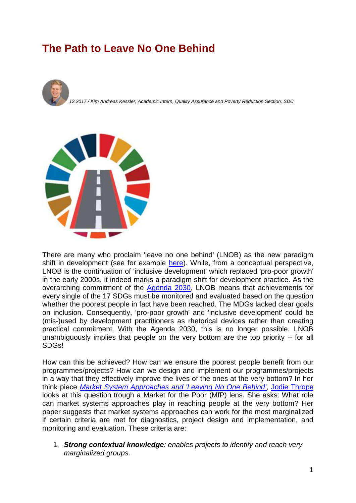## **The Path to Leave No One Behind**





There are many who proclaim 'leave no one behind' (LNOB) as the new paradigm shift in development (see for example [here\)](https://www.shareweb.ch/site/Poverty-Wellbeing/current-poverty-issues/sdgs-agenda2030/leave-no-one-behind-–-discrimination-exclusion-and-the-2030-agenda). While, from a conceptual perspective, LNOB is the continuation of 'inclusive development' which replaced 'pro-poor growth' in the early 2000s, it indeed marks a paradigm shift for development practice. As the overarching commitment of the [Agenda 2030,](https://www.shareweb.ch/site/Poverty-Wellbeing/current-poverty-issues/sdgs-agenda2030/leave-no-one-behind-–-discrimination-exclusion-and-the-2030-agenda) LNOB means that achievements for every single of the 17 SDGs must be monitored and evaluated based on the question whether the poorest people in fact have been reached. The MDGs lacked clear goals on inclusion. Consequently, 'pro-poor growth' and 'inclusive development' could be (mis-)used by development practitioners as rhetorical devices rather than creating practical commitment. With the Agenda 2030, this is no longer possible. LNOB unambiguously implies that people on the very bottom are the top priority – for all SDGs!

How can this be achieved? How can we ensure the poorest people benefit from our programmes/projects? How can we design and implement our programmes/projects in a way that they effectively improve the lives of the ones at the very bottom? In her think piece *[Market System Approaches and 'Leaving No One Behind'](https://beamexchange.org/resources/980/)*, [Jodie Thrope](https://www.ids.ac.uk/person/jodie-thorpe) looks at this question trough a Market for the Poor (MfP) lens. She asks: What role can market systems approaches play in reaching people at the very bottom? Her paper suggests that market systems approaches can work for the most marginalized if certain criteria are met for diagnostics, project design and implementation, and monitoring and evaluation. These criteria are:

1. *Strong contextual knowledge: enables projects to identify and reach very marginalized groups.*